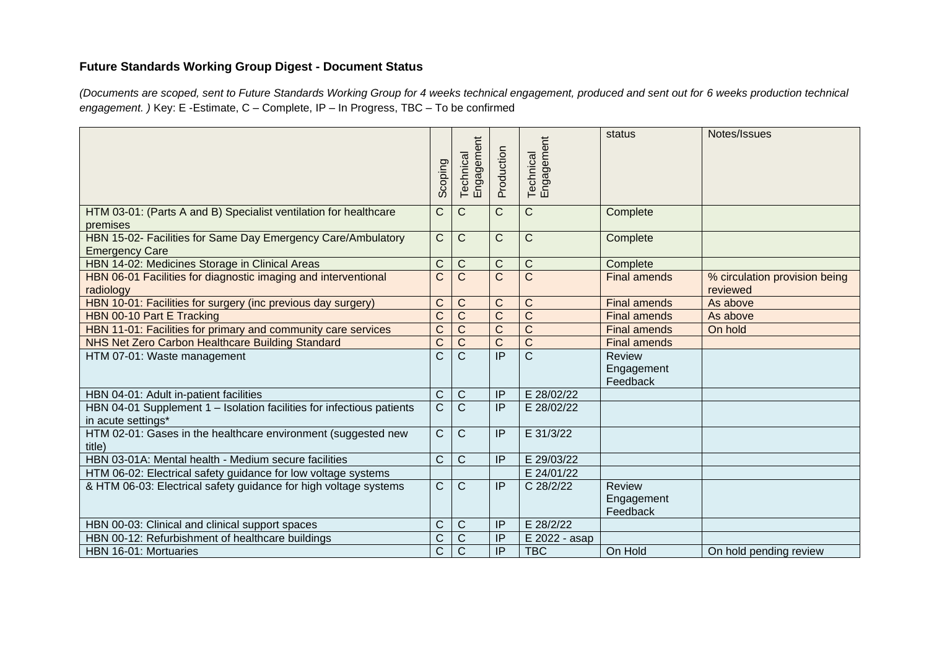## **Future Standards Working Group Digest - Document Status**

*(Documents are scoped, sent to Future Standards Working Group for 4 weeks technical engagement, produced and sent out for 6 weeks production technical engagement. )* Key: E -Estimate, C – Complete, IP – In Progress, TBC – To be confirmed

|                                                                                             | <b>Scoping</b> | Engagement<br>Technical | Production      | Technical<br>Engagement | status                                  | Notes/Issues                              |
|---------------------------------------------------------------------------------------------|----------------|-------------------------|-----------------|-------------------------|-----------------------------------------|-------------------------------------------|
| HTM 03-01: (Parts A and B) Specialist ventilation for healthcare<br>premises                | C              | $\mathsf{C}$            | $\mathsf{C}$    | C                       | Complete                                |                                           |
| HBN 15-02- Facilities for Same Day Emergency Care/Ambulatory<br><b>Emergency Care</b>       | $\mathsf{C}$   | $\mathsf C$             | $\mathsf{C}$    | C                       | Complete                                |                                           |
| HBN 14-02: Medicines Storage in Clinical Areas                                              | $\mathsf{C}$   | $\mathsf C$             | $\mathsf{C}$    | C                       | Complete                                |                                           |
| HBN 06-01 Facilities for diagnostic imaging and interventional<br>radiology                 | $\mathsf C$    | $\mathsf{C}$            | $\mathsf{C}$    | $\overline{C}$          | <b>Final amends</b>                     | % circulation provision being<br>reviewed |
| HBN 10-01: Facilities for surgery (inc previous day surgery)                                | $\mathsf C$    | C                       | $\mathsf{C}$    | C                       | <b>Final amends</b>                     | As above                                  |
| HBN 00-10 Part E Tracking                                                                   | $\overline{C}$ | $\overline{C}$          | $\overline{C}$  | $\overline{C}$          | <b>Final amends</b>                     | As above                                  |
| HBN 11-01: Facilities for primary and community care services                               | $\overline{C}$ | $\mathsf C$             | $\overline{C}$  | $\overline{\text{C}}$   | <b>Final amends</b>                     | On hold                                   |
| NHS Net Zero Carbon Healthcare Building Standard                                            | $\mathsf{C}$   | $\mathsf{C}$            | $\overline{C}$  | $\overline{C}$          | <b>Final amends</b>                     |                                           |
| HTM 07-01: Waste management                                                                 | C              | $\overline{C}$          | $\overline{IP}$ | $\overline{C}$          | <b>Review</b><br>Engagement<br>Feedback |                                           |
| HBN 04-01: Adult in-patient facilities                                                      | $\mathsf{C}$   | $\mathsf{C}$            | IP              | E 28/02/22              |                                         |                                           |
| HBN 04-01 Supplement 1 - Isolation facilities for infectious patients<br>in acute settings* | $\overline{C}$ | $\overline{\text{C}}$   | $\overline{P}$  | E 28/02/22              |                                         |                                           |
| HTM 02-01: Gases in the healthcare environment (suggested new<br>title)                     | $\mathsf C$    | C                       | IP              | E 31/3/22               |                                         |                                           |
| HBN 03-01A: Mental health - Medium secure facilities                                        | $\mathsf{C}$   | C                       | IP              | E 29/03/22              |                                         |                                           |
| HTM 06-02: Electrical safety guidance for low voltage systems                               |                |                         |                 | E 24/01/22              |                                         |                                           |
| & HTM 06-03: Electrical safety guidance for high voltage systems                            | $\mathsf{C}$   | $\mathsf{C}$            | IP              | C 28/2/22               | <b>Review</b><br>Engagement<br>Feedback |                                           |
| HBN 00-03: Clinical and clinical support spaces                                             | C              | $\mathsf C$             | IP              | E 28/2/22               |                                         |                                           |
| HBN 00-12: Refurbishment of healthcare buildings                                            | $\mathsf C$    | C                       | IP              | E 2022 - asap           |                                         |                                           |
| HBN 16-01: Mortuaries                                                                       | $\overline{C}$ | $\overline{\text{C}}$   | $\overline{IP}$ | <b>TBC</b>              | On Hold                                 | On hold pending review                    |